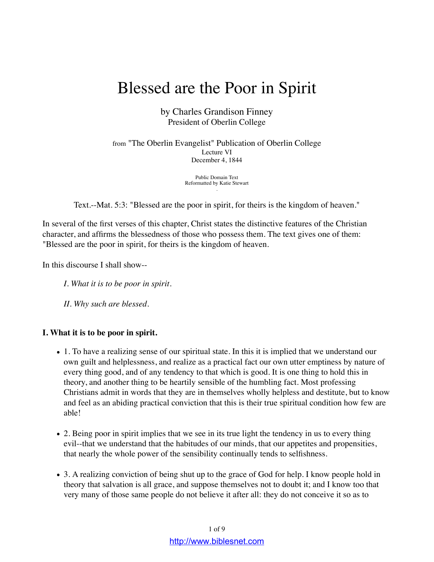# Blessed are the Poor in Spirit

by Charles Grandison Finney President of Oberlin College

from "The Oberlin Evangelist" Publication of Oberlin College Lecture VI December 4, 1844

> Public Domain Text Reformatted by Katie Stewart .

Text.--Mat. 5:3: "Blessed are the poor in spirit, for theirs is the kingdom of heaven."

In several of the first verses of this chapter, Christ states the distinctive features of the Christian character, and affirms the blessedness of those who possess them. The text gives one of them: "Blessed are the poor in spirit, for theirs is the kingdom of heaven.

In this discourse I shall show--

- *I. What it is to be poor in spirit.*
- *II. Why such are blessed.*

### **I. What it is to be poor in spirit.**

- 1. To have a realizing sense of our spiritual state. In this it is implied that we understand our own guilt and helplessness, and realize as a practical fact our own utter emptiness by nature of every thing good, and of any tendency to that which is good. It is one thing to hold this in theory, and another thing to be heartily sensible of the humbling fact. Most professing Christians admit in words that they are in themselves wholly helpless and destitute, but to know and feel as an abiding practical conviction that this is their true spiritual condition how few are able!
- 2. Being poor in spirit implies that we see in its true light the tendency in us to every thing evil--that we understand that the habitudes of our minds, that our appetites and propensities, that nearly the whole power of the sensibility continually tends to selfishness.
- 3. A realizing conviction of being shut up to the grace of God for help. I know people hold in theory that salvation is all grace, and suppose themselves not to doubt it; and I know too that very many of those same people do not believe it after all: they do not conceive it so as to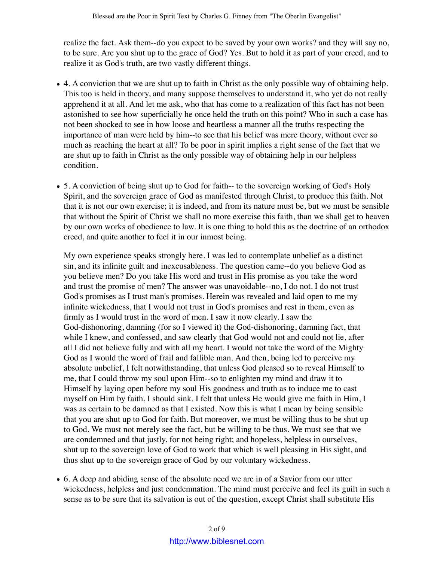realize the fact. Ask them--do you expect to be saved by your own works? and they will say no, to be sure. Are you shut up to the grace of God? Yes. But to hold it as part of your creed, and to realize it as God's truth, are two vastly different things.

- 4. A conviction that we are shut up to faith in Christ as the only possible way of obtaining help. This too is held in theory, and many suppose themselves to understand it, who yet do not really apprehend it at all. And let me ask, who that has come to a realization of this fact has not been astonished to see how superficially he once held the truth on this point? Who in such a case has not been shocked to see in how loose and heartless a manner all the truths respecting the importance of man were held by him--to see that his belief was mere theory, without ever so much as reaching the heart at all? To be poor in spirit implies a right sense of the fact that we are shut up to faith in Christ as the only possible way of obtaining help in our helpless condition.
- 5. A conviction of being shut up to God for faith-- to the sovereign working of God's Holy Spirit, and the sovereign grace of God as manifested through Christ, to produce this faith. Not that it is not our own exercise; it is indeed, and from its nature must be, but we must be sensible that without the Spirit of Christ we shall no more exercise this faith, than we shall get to heaven by our own works of obedience to law. It is one thing to hold this as the doctrine of an orthodox creed, and quite another to feel it in our inmost being.

My own experience speaks strongly here. I was led to contemplate unbelief as a distinct sin, and its infinite guilt and inexcusableness. The question came--do you believe God as you believe men? Do you take His word and trust in His promise as you take the word and trust the promise of men? The answer was unavoidable--no, I do not. I do not trust God's promises as I trust man's promises. Herein was revealed and laid open to me my infinite wickedness, that I would not trust in God's promises and rest in them, even as firmly as I would trust in the word of men. I saw it now clearly. I saw the God-dishonoring, damning (for so I viewed it) the God-dishonoring, damning fact, that while I knew, and confessed, and saw clearly that God would not and could not lie, after all I did not believe fully and with all my heart. I would not take the word of the Mighty God as I would the word of frail and fallible man. And then, being led to perceive my absolute unbelief, I felt notwithstanding, that unless God pleased so to reveal Himself to me, that I could throw my soul upon Him--so to enlighten my mind and draw it to Himself by laying open before my soul His goodness and truth as to induce me to cast myself on Him by faith, I should sink. I felt that unless He would give me faith in Him, I was as certain to be damned as that I existed. Now this is what I mean by being sensible that you are shut up to God for faith. But moreover, we must be willing thus to be shut up to God. We must not merely see the fact, but be willing to be thus. We must see that we are condemned and that justly, for not being right; and hopeless, helpless in ourselves, shut up to the sovereign love of God to work that which is well pleasing in His sight, and thus shut up to the sovereign grace of God by our voluntary wickedness.

6. A deep and abiding sense of the absolute need we are in of a Savior from our utter wickedness, helpless and just condemnation. The mind must perceive and feel its guilt in such a sense as to be sure that its salvation is out of the question, except Christ shall substitute His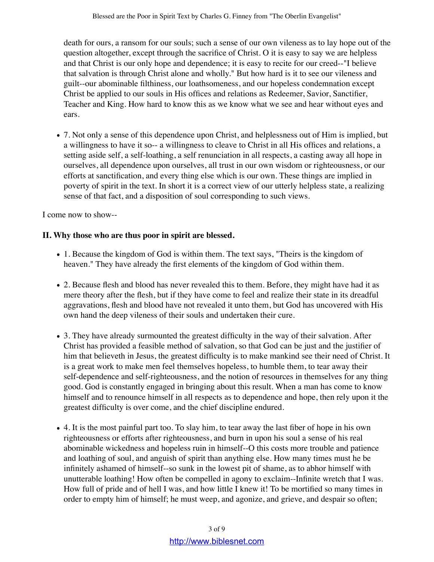death for ours, a ransom for our souls; such a sense of our own vileness as to lay hope out of the question altogether, except through the sacrifice of Christ. O it is easy to say we are helpless and that Christ is our only hope and dependence; it is easy to recite for our creed--"I believe that salvation is through Christ alone and wholly." But how hard is it to see our vileness and guilt--our abominable filthiness, our loathsomeness, and our hopeless condemnation except Christ be applied to our souls in His offices and relations as Redeemer, Savior, Sanctifier, Teacher and King. How hard to know this as we know what we see and hear without eyes and ears.

7. Not only a sense of this dependence upon Christ, and helplessness out of Him is implied, but a willingness to have it so-- a willingness to cleave to Christ in all His offices and relations, a setting aside self, a self-loathing, a self renunciation in all respects, a casting away all hope in ourselves, all dependence upon ourselves, all trust in our own wisdom or righteousness, or our efforts at sanctification, and every thing else which is our own. These things are implied in poverty of spirit in the text. In short it is a correct view of our utterly helpless state, a realizing sense of that fact, and a disposition of soul corresponding to such views.

I come now to show--

## **II. Why those who are thus poor in spirit are blessed.**

- 1. Because the kingdom of God is within them. The text says, "Theirs is the kingdom of heaven." They have already the first elements of the kingdom of God within them.
- 2. Because flesh and blood has never revealed this to them. Before, they might have had it as mere theory after the flesh, but if they have come to feel and realize their state in its dreadful aggravations, flesh and blood have not revealed it unto them, but God has uncovered with His own hand the deep vileness of their souls and undertaken their cure.
- 3. They have already surmounted the greatest difficulty in the way of their salvation. After Christ has provided a feasible method of salvation, so that God can be just and the justifier of him that believeth in Jesus, the greatest difficulty is to make mankind see their need of Christ. It is a great work to make men feel themselves hopeless, to humble them, to tear away their self-dependence and self-righteousness, and the notion of resources in themselves for any thing good. God is constantly engaged in bringing about this result. When a man has come to know himself and to renounce himself in all respects as to dependence and hope, then rely upon it the greatest difficulty is over come, and the chief discipline endured.
- 4. It is the most painful part too. To slay him, to tear away the last fiber of hope in his own righteousness or efforts after righteousness, and burn in upon his soul a sense of his real abominable wickedness and hopeless ruin in himself--O this costs more trouble and patience and loathing of soul, and anguish of spirit than anything else. How many times must he be infinitely ashamed of himself--so sunk in the lowest pit of shame, as to abhor himself with unutterable loathing! How often be compelled in agony to exclaim--Infinite wretch that I was. How full of pride and of hell I was, and how little I knew it! To be mortified so many times in order to empty him of himself; he must weep, and agonize, and grieve, and despair so often;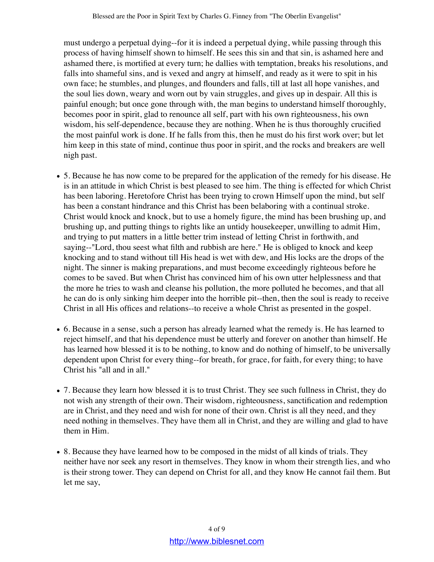must undergo a perpetual dying--for it is indeed a perpetual dying, while passing through this process of having himself shown to himself. He sees this sin and that sin, is ashamed here and ashamed there, is mortified at every turn; he dallies with temptation, breaks his resolutions, and falls into shameful sins, and is vexed and angry at himself, and ready as it were to spit in his own face; he stumbles, and plunges, and flounders and falls, till at last all hope vanishes, and the soul lies down, weary and worn out by vain struggles, and gives up in despair. All this is painful enough; but once gone through with, the man begins to understand himself thoroughly, becomes poor in spirit, glad to renounce all self, part with his own righteousness, his own wisdom, his self-dependence, because they are nothing. When he is thus thoroughly crucified the most painful work is done. If he falls from this, then he must do his first work over; but let him keep in this state of mind, continue thus poor in spirit, and the rocks and breakers are well nigh past.

- 5. Because he has now come to be prepared for the application of the remedy for his disease. He is in an attitude in which Christ is best pleased to see him. The thing is effected for which Christ has been laboring. Heretofore Christ has been trying to crown Himself upon the mind, but self has been a constant hindrance and this Christ has been belaboring with a continual stroke. Christ would knock and knock, but to use a homely figure, the mind has been brushing up, and brushing up, and putting things to rights like an untidy housekeeper, unwilling to admit Him, and trying to put matters in a little better trim instead of letting Christ in forthwith, and saying--"Lord, thou seest what filth and rubbish are here." He is obliged to knock and keep knocking and to stand without till His head is wet with dew, and His locks are the drops of the night. The sinner is making preparations, and must become exceedingly righteous before he comes to be saved. But when Christ has convinced him of his own utter helplessness and that the more he tries to wash and cleanse his pollution, the more polluted he becomes, and that all he can do is only sinking him deeper into the horrible pit--then, then the soul is ready to receive Christ in all His offices and relations--to receive a whole Christ as presented in the gospel.
- 6. Because in a sense, such a person has already learned what the remedy is. He has learned to reject himself, and that his dependence must be utterly and forever on another than himself. He has learned how blessed it is to be nothing, to know and do nothing of himself, to be universally dependent upon Christ for every thing--for breath, for grace, for faith, for every thing; to have Christ his "all and in all."
- 7. Because they learn how blessed it is to trust Christ. They see such fullness in Christ, they do not wish any strength of their own. Their wisdom, righteousness, sanctification and redemption are in Christ, and they need and wish for none of their own. Christ is all they need, and they need nothing in themselves. They have them all in Christ, and they are willing and glad to have them in Him.
- 8. Because they have learned how to be composed in the midst of all kinds of trials. They neither have nor seek any resort in themselves. They know in whom their strength lies, and who is their strong tower. They can depend on Christ for all, and they know He cannot fail them. But let me say,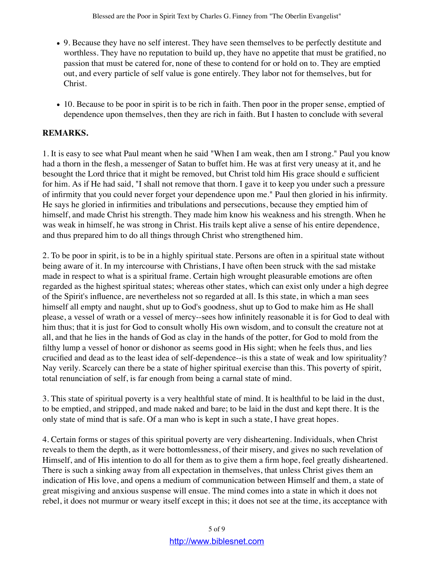- 9. Because they have no self interest. They have seen themselves to be perfectly destitute and worthless. They have no reputation to build up, they have no appetite that must be gratified, no passion that must be catered for, none of these to contend for or hold on to. They are emptied out, and every particle of self value is gone entirely. They labor not for themselves, but for Christ.
- 10. Because to be poor in spirit is to be rich in faith. Then poor in the proper sense, emptied of dependence upon themselves, then they are rich in faith. But I hasten to conclude with several

# **REMARKS.**

1. It is easy to see what Paul meant when he said "When I am weak, then am I strong." Paul you know had a thorn in the flesh, a messenger of Satan to buffet him. He was at first very uneasy at it, and he besought the Lord thrice that it might be removed, but Christ told him His grace should e sufficient for him. As if He had said, "I shall not remove that thorn. I gave it to keep you under such a pressure of infirmity that you could never forget your dependence upon me." Paul then gloried in his infirmity. He says he gloried in infirmities and tribulations and persecutions, because they emptied him of himself, and made Christ his strength. They made him know his weakness and his strength. When he was weak in himself, he was strong in Christ. His trails kept alive a sense of his entire dependence, and thus prepared him to do all things through Christ who strengthened him.

2. To be poor in spirit, is to be in a highly spiritual state. Persons are often in a spiritual state without being aware of it. In my intercourse with Christians, I have often been struck with the sad mistake made in respect to what is a spiritual frame. Certain high wrought pleasurable emotions are often regarded as the highest spiritual states; whereas other states, which can exist only under a high degree of the Spirit's influence, are nevertheless not so regarded at all. Is this state, in which a man sees himself all empty and naught, shut up to God's goodness, shut up to God to make him as He shall please, a vessel of wrath or a vessel of mercy--sees how infinitely reasonable it is for God to deal with him thus; that it is just for God to consult wholly His own wisdom, and to consult the creature not at all, and that he lies in the hands of God as clay in the hands of the potter, for God to mold from the filthy lump a vessel of honor or dishonor as seems good in His sight; when he feels thus, and lies crucified and dead as to the least idea of self-dependence--is this a state of weak and low spirituality? Nay verily. Scarcely can there be a state of higher spiritual exercise than this. This poverty of spirit, total renunciation of self, is far enough from being a carnal state of mind.

3. This state of spiritual poverty is a very healthful state of mind. It is healthful to be laid in the dust, to be emptied, and stripped, and made naked and bare; to be laid in the dust and kept there. It is the only state of mind that is safe. Of a man who is kept in such a state, I have great hopes.

4. Certain forms or stages of this spiritual poverty are very disheartening. Individuals, when Christ reveals to them the depth, as it were bottomlessness, of their misery, and gives no such revelation of Himself, and of His intention to do all for them as to give them a firm hope, feel greatly disheartened. There is such a sinking away from all expectation in themselves, that unless Christ gives them an indication of His love, and opens a medium of communication between Himself and them, a state of great misgiving and anxious suspense will ensue. The mind comes into a state in which it does not rebel, it does not murmur or weary itself except in this; it does not see at the time, its acceptance with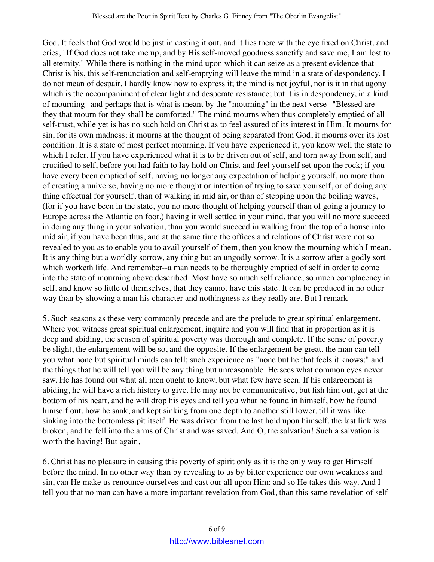God. It feels that God would be just in casting it out, and it lies there with the eye fixed on Christ, and cries, "If God does not take me up, and by His self-moved goodness sanctify and save me, I am lost to all eternity." While there is nothing in the mind upon which it can seize as a present evidence that Christ is his, this self-renunciation and self-emptying will leave the mind in a state of despondency. I do not mean of despair. I hardly know how to express it; the mind is not joyful, nor is it in that agony which is the accompaniment of clear light and desperate resistance; but it is in despondency, in a kind of mourning--and perhaps that is what is meant by the "mourning" in the next verse--"Blessed are they that mourn for they shall be comforted." The mind mourns when thus completely emptied of all self-trust, while yet is has no such hold on Christ as to feel assured of its interest in Him. It mourns for sin, for its own madness; it mourns at the thought of being separated from God, it mourns over its lost condition. It is a state of most perfect mourning. If you have experienced it, you know well the state to which I refer. If you have experienced what it is to be driven out of self, and torn away from self, and crucified to self, before you had faith to lay hold on Christ and feel yourself set upon the rock; if you have every been emptied of self, having no longer any expectation of helping yourself, no more than of creating a universe, having no more thought or intention of trying to save yourself, or of doing any thing effectual for yourself, than of walking in mid air, or than of stepping upon the boiling waves, (for if you have been in the state, you no more thought of helping yourself than of going a journey to Europe across the Atlantic on foot,) having it well settled in your mind, that you will no more succeed in doing any thing in your salvation, than you would succeed in walking from the top of a house into mid air, if you have been thus, and at the same time the offices and relations of Christ were not so revealed to you as to enable you to avail yourself of them, then you know the mourning which I mean. It is any thing but a worldly sorrow, any thing but an ungodly sorrow. It is a sorrow after a godly sort which worketh life. And remember--a man needs to be thoroughly emptied of self in order to come into the state of mourning above described. Most have so much self reliance, so much complacency in self, and know so little of themselves, that they cannot have this state. It can be produced in no other way than by showing a man his character and nothingness as they really are. But I remark

5. Such seasons as these very commonly precede and are the prelude to great spiritual enlargement. Where you witness great spiritual enlargement, inquire and you will find that in proportion as it is deep and abiding, the season of spiritual poverty was thorough and complete. If the sense of poverty be slight, the enlargement will be so, and the opposite. If the enlargement be great, the man can tell you what none but spiritual minds can tell; such experience as "none but he that feels it knows;" and the things that he will tell you will be any thing but unreasonable. He sees what common eyes never saw. He has found out what all men ought to know, but what few have seen. If his enlargement is abiding, he will have a rich history to give. He may not be communicative, but fish him out, get at the bottom of his heart, and he will drop his eyes and tell you what he found in himself, how he found himself out, how he sank, and kept sinking from one depth to another still lower, till it was like sinking into the bottomless pit itself. He was driven from the last hold upon himself, the last link was broken, and he fell into the arms of Christ and was saved. And O, the salvation! Such a salvation is worth the having! But again,

6. Christ has no pleasure in causing this poverty of spirit only as it is the only way to get Himself before the mind. In no other way than by revealing to us by bitter experience our own weakness and sin, can He make us renounce ourselves and cast our all upon Him: and so He takes this way. And I tell you that no man can have a more important revelation from God, than this same revelation of self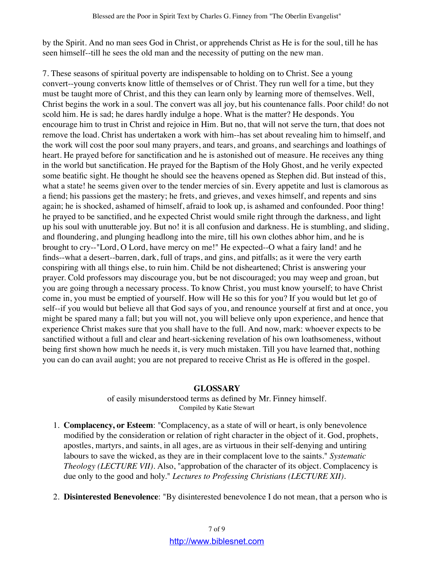by the Spirit. And no man sees God in Christ, or apprehends Christ as He is for the soul, till he has seen himself--till he sees the old man and the necessity of putting on the new man.

7. These seasons of spiritual poverty are indispensable to holding on to Christ. See a young convert--young converts know little of themselves or of Christ. They run well for a time, but they must be taught more of Christ, and this they can learn only by learning more of themselves. Well, Christ begins the work in a soul. The convert was all joy, but his countenance falls. Poor child! do not scold him. He is sad; he dares hardly indulge a hope. What is the matter? He desponds. You encourage him to trust in Christ and rejoice in Him. But no, that will not serve the turn, that does not remove the load. Christ has undertaken a work with him--has set about revealing him to himself, and the work will cost the poor soul many prayers, and tears, and groans, and searchings and loathings of heart. He prayed before for sanctification and he is astonished out of measure. He receives any thing in the world but sanctification. He prayed for the Baptism of the Holy Ghost, and he verily expected some beatific sight. He thought he should see the heavens opened as Stephen did. But instead of this, what a state! he seems given over to the tender mercies of sin. Every appetite and lust is clamorous as a fiend; his passions get the mastery; he frets, and grieves, and vexes himself, and repents and sins again; he is shocked, ashamed of himself, afraid to look up, is ashamed and confounded. Poor thing! he prayed to be sanctified, and he expected Christ would smile right through the darkness, and light up his soul with unutterable joy. But no! it is all confusion and darkness. He is stumbling, and sliding, and floundering, and plunging headlong into the mire, till his own clothes abhor him, and he is brought to cry--"Lord, O Lord, have mercy on me!" He expected--O what a fairy land! and he finds--what a desert--barren, dark, full of traps, and gins, and pitfalls; as it were the very earth conspiring with all things else, to ruin him. Child be not disheartened; Christ is answering your prayer. Cold professors may discourage you, but be not discouraged; you may weep and groan, but you are going through a necessary process. To know Christ, you must know yourself; to have Christ come in, you must be emptied of yourself. How will He so this for you? If you would but let go of self--if you would but believe all that God says of you, and renounce yourself at first and at once, you might be spared many a fall; but you will not, you will believe only upon experience, and hence that experience Christ makes sure that you shall have to the full. And now, mark: whoever expects to be sanctified without a full and clear and heart-sickening revelation of his own loathsomeness, without being first shown how much he needs it, is very much mistaken. Till you have learned that, nothing you can do can avail aught; you are not prepared to receive Christ as He is offered in the gospel.

### **GLOSSARY**

of easily misunderstood terms as defined by Mr. Finney himself. Compiled by Katie Stewart

- **Complacency, or Esteem**: "Complacency, as a state of will or heart, is only benevolence 1. modified by the consideration or relation of right character in the object of it. God, prophets, apostles, martyrs, and saints, in all ages, are as virtuous in their self-denying and untiring labours to save the wicked, as they are in their complacent love to the saints." *Systematic Theology (LECTURE VII).* Also, "approbation of the character of its object. Complacency is due only to the good and holy." *Lectures to Professing Christians (LECTURE XII).*
- 2. **Disinterested Benevolence**: "By disinterested benevolence I do not mean, that a person who is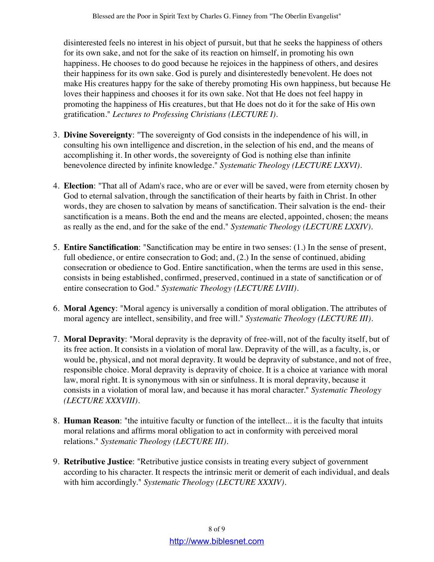disinterested feels no interest in his object of pursuit, but that he seeks the happiness of others for its own sake, and not for the sake of its reaction on himself, in promoting his own happiness. He chooses to do good because he rejoices in the happiness of others, and desires their happiness for its own sake. God is purely and disinterestedly benevolent. He does not make His creatures happy for the sake of thereby promoting His own happiness, but because He loves their happiness and chooses it for its own sake. Not that He does not feel happy in promoting the happiness of His creatures, but that He does not do it for the sake of His own gratification." *Lectures to Professing Christians (LECTURE I).*

- **Divine Sovereignty**: "The sovereignty of God consists in the independence of his will, in 3. consulting his own intelligence and discretion, in the selection of his end, and the means of accomplishing it. In other words, the sovereignty of God is nothing else than infinite benevolence directed by infinite knowledge." *Systematic Theology (LECTURE LXXVI).*
- **Election**: "That all of Adam's race, who are or ever will be saved, were from eternity chosen by 4. God to eternal salvation, through the sanctification of their hearts by faith in Christ. In other words, they are chosen to salvation by means of sanctification. Their salvation is the end- their sanctification is a means. Both the end and the means are elected, appointed, chosen; the means as really as the end, and for the sake of the end." *Systematic Theology (LECTURE LXXIV).*
- **Entire Sanctification**: "Sanctification may be entire in two senses: (1.) In the sense of present, 5. full obedience, or entire consecration to God; and, (2.) In the sense of continued, abiding consecration or obedience to God. Entire sanctification, when the terms are used in this sense, consists in being established, confirmed, preserved, continued in a state of sanctification or of entire consecration to God." *Systematic Theology (LECTURE LVIII).*
- **Moral Agency**: "Moral agency is universally a condition of moral obligation. The attributes of 6. moral agency are intellect, sensibility, and free will." *Systematic Theology (LECTURE III).*
- **Moral Depravity**: "Moral depravity is the depravity of free-will, not of the faculty itself, but of 7. its free action. It consists in a violation of moral law. Depravity of the will, as a faculty, is, or would be, physical, and not moral depravity. It would be depravity of substance, and not of free, responsible choice. Moral depravity is depravity of choice. It is a choice at variance with moral law, moral right. It is synonymous with sin or sinfulness. It is moral depravity, because it consists in a violation of moral law, and because it has moral character." *Systematic Theology (LECTURE XXXVIII).*
- **Human Reason**: "the intuitive faculty or function of the intellect... it is the faculty that intuits 8. moral relations and affirms moral obligation to act in conformity with perceived moral relations." *Systematic Theology (LECTURE III).*
- **Retributive Justice**: "Retributive justice consists in treating every subject of government 9. according to his character. It respects the intrinsic merit or demerit of each individual, and deals with him accordingly." *Systematic Theology (LECTURE XXXIV).*